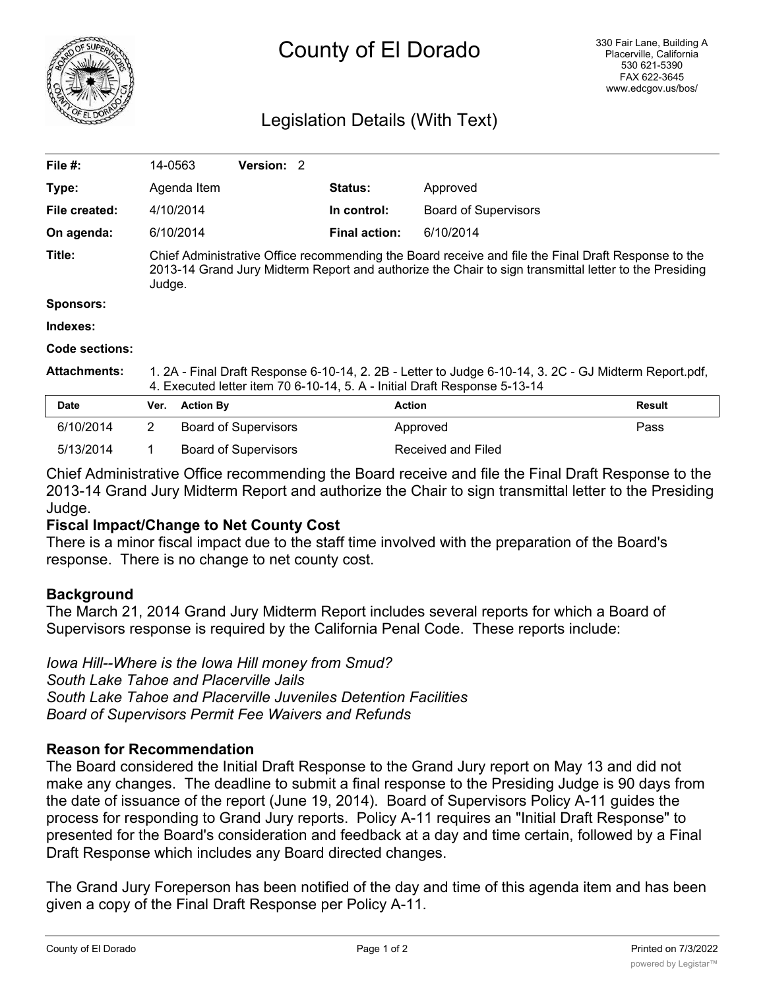

# Legislation Details (With Text)

| File #:             | 14-0563                                                                                                                                                                                                                |                  | <b>Version: 2</b>           |  |                      |                             |               |
|---------------------|------------------------------------------------------------------------------------------------------------------------------------------------------------------------------------------------------------------------|------------------|-----------------------------|--|----------------------|-----------------------------|---------------|
| Type:               |                                                                                                                                                                                                                        | Agenda Item      |                             |  | <b>Status:</b>       | Approved                    |               |
| File created:       |                                                                                                                                                                                                                        | 4/10/2014        |                             |  | In control:          | <b>Board of Supervisors</b> |               |
| On agenda:          |                                                                                                                                                                                                                        | 6/10/2014        |                             |  | <b>Final action:</b> | 6/10/2014                   |               |
| Title:              | Chief Administrative Office recommending the Board receive and file the Final Draft Response to the<br>2013-14 Grand Jury Midterm Report and authorize the Chair to sign transmittal letter to the Presiding<br>Judge. |                  |                             |  |                      |                             |               |
| <b>Sponsors:</b>    |                                                                                                                                                                                                                        |                  |                             |  |                      |                             |               |
| Indexes:            |                                                                                                                                                                                                                        |                  |                             |  |                      |                             |               |
| Code sections:      |                                                                                                                                                                                                                        |                  |                             |  |                      |                             |               |
| <b>Attachments:</b> | 1. 2A - Final Draft Response 6-10-14, 2. 2B - Letter to Judge 6-10-14, 3. 2C - GJ Midterm Report.pdf,<br>4. Executed letter item 70 6-10-14, 5. A - Initial Draft Response 5-13-14                                     |                  |                             |  |                      |                             |               |
| <b>Date</b>         | Ver.                                                                                                                                                                                                                   | <b>Action By</b> |                             |  |                      | <b>Action</b>               | <b>Result</b> |
| 6/10/2014           | $\overline{2}$                                                                                                                                                                                                         |                  | <b>Board of Supervisors</b> |  |                      | Approved                    | Pass          |
| 5/13/2014           | 1                                                                                                                                                                                                                      |                  | <b>Board of Supervisors</b> |  |                      | Received and Filed          |               |

Chief Administrative Office recommending the Board receive and file the Final Draft Response to the 2013-14 Grand Jury Midterm Report and authorize the Chair to sign transmittal letter to the Presiding Judge.

# **Fiscal Impact/Change to Net County Cost**

There is a minor fiscal impact due to the staff time involved with the preparation of the Board's response. There is no change to net county cost.

#### **Background**

The March 21, 2014 Grand Jury Midterm Report includes several reports for which a Board of Supervisors response is required by the California Penal Code. These reports include:

*Iowa Hill--Where is the Iowa Hill money from Smud? South Lake Tahoe and Placerville Jails South Lake Tahoe and Placerville Juveniles Detention Facilities Board of Supervisors Permit Fee Waivers and Refunds*

#### **Reason for Recommendation**

The Board considered the Initial Draft Response to the Grand Jury report on May 13 and did not make any changes. The deadline to submit a final response to the Presiding Judge is 90 days from the date of issuance of the report (June 19, 2014). Board of Supervisors Policy A-11 guides the process for responding to Grand Jury reports. Policy A-11 requires an "Initial Draft Response" to presented for the Board's consideration and feedback at a day and time certain, followed by a Final Draft Response which includes any Board directed changes.

The Grand Jury Foreperson has been notified of the day and time of this agenda item and has been given a copy of the Final Draft Response per Policy A-11.